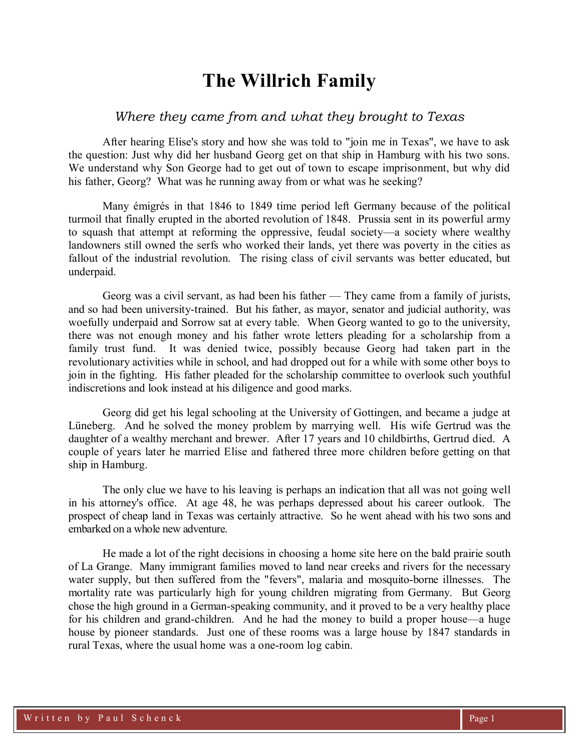## **The Willrich Family**

## *Where they came from and what they brought to Texas*

After hearing Elise's story and how she was told to "join me in Texas", we have to ask the question: Just why did her husband Georg get on that ship in Hamburg with his two sons. We understand why Son George had to get out of town to escape imprisonment, but why did his father, Georg? What was he running away from or what was he seeking?

Many émigrés in that 1846 to 1849 time period left Germany because of the political turmoil that finally erupted in the aborted revolution of 1848. Prussia sent in its powerful army to squash that attempt at reforming the oppressive, feudal society—a society where wealthy landowners still owned the serfs who worked their lands, yet there was poverty in the cities as fallout of the industrial revolution. The rising class of civil servants was better educated, but underpaid.

Georg was a civil servant, as had been his father — They came from a family of jurists, and so had been university-trained. But his father, as mayor, senator and judicial authority, was woefully underpaid and Sorrow sat at every table. When Georg wanted to go to the university, there was not enough money and his father wrote letters pleading for a scholarship from a family trust fund. It was denied twice, possibly because Georg had taken part in the revolutionary activities while in school, and had dropped out for a while with some other boys to join in the fighting. His father pleaded for the scholarship committee to overlook such youthful indiscretions and look instead at his diligence and good marks.

Georg did get his legal schooling at the University of Gottingen, and became a judge at Lüneberg. And he solved the money problem by marrying well. His wife Gertrud was the daughter of a wealthy merchant and brewer. After 17 years and 10 childbirths, Gertrud died. A couple of years later he married Elise and fathered three more children before getting on that ship in Hamburg.

The only clue we have to his leaving is perhaps an indication that all was not going well in his attorney's office. At age 48, he was perhaps depressed about his career outlook. The prospect of cheap land in Texas was certainly attractive. So he went ahead with his two sons and embarked on a whole new adventure.

He made a lot of the right decisions in choosing a home site here on the bald prairie south of La Grange. Many immigrant families moved to land near creeks and rivers for the necessary water supply, but then suffered from the "fevers", malaria and mosquito-borne illnesses. The mortality rate was particularly high for young children migrating from Germany. But Georg chose the high ground in a German-speaking community, and it proved to be a very healthy place for his children and grand-children. And he had the money to build a proper house—a huge house by pioneer standards. Just one of these rooms was a large house by 1847 standards in rural Texas, where the usual home was a one-room log cabin.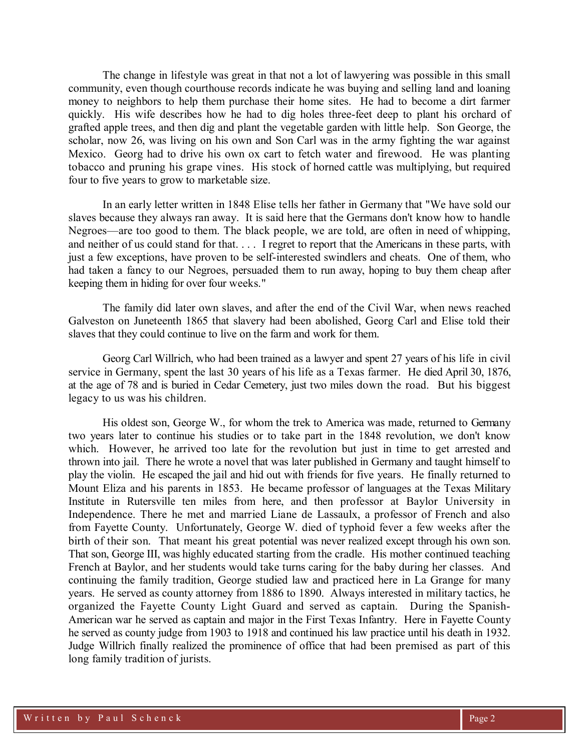The change in lifestyle was great in that not a lot of lawyering was possible in this small community, even though courthouse records indicate he was buying and selling land and loaning money to neighbors to help them purchase their home sites. He had to become a dirt farmer quickly. His wife describes how he had to dig holes three-feet deep to plant his orchard of grafted apple trees, and then dig and plant the vegetable garden with little help. Son George, the scholar, now 26, was living on his own and Son Carl was in the army fighting the war against Mexico. Georg had to drive his own ox cart to fetch water and firewood. He was planting tobacco and pruning his grape vines. His stock of horned cattle was multiplying, but required four to five years to grow to marketable size.

In an early letter written in 1848 Elise tells her father in Germany that "We have sold our slaves because they always ran away. It is said here that the Germans don't know how to handle Negroes—are too good to them. The black people, we are told, are often in need of whipping, and neither of us could stand for that. . . . I regret to report that the Americans in these parts, with just a few exceptions, have proven to be self-interested swindlers and cheats. One of them, who had taken a fancy to our Negroes, persuaded them to run away, hoping to buy them cheap after keeping them in hiding for over four weeks."

The family did later own slaves, and after the end of the Civil War, when news reached Galveston on Juneteenth 1865 that slavery had been abolished, Georg Carl and Elise told their slaves that they could continue to live on the farm and work for them.

Georg Carl Willrich, who had been trained as a lawyer and spent 27 years of his life in civil service in Germany, spent the last 30 years of his life as a Texas farmer. He died April 30, 1876, at the age of 78 and is buried in Cedar Cemetery, just two miles down the road. But his biggest legacy to us was his children.

His oldest son, George W., for whom the trek to America was made, returned to Germany two years later to continue his studies or to take part in the 1848 revolution, we don't know which. However, he arrived too late for the revolution but just in time to get arrested and thrown into jail. There he wrote a novel that was later published in Germany and taught himself to play the violin. He escaped the jail and hid out with friends for five years. He finally returned to Mount Eliza and his parents in 1853. He became professor of languages at the Texas Military Institute in Rutersville ten miles from here, and then professor at Baylor University in Independence. There he met and married Liane de Lassaulx, a professor of French and also from Fayette County. Unfortunately, George W. died of typhoid fever a few weeks after the birth of their son. That meant his great potential was never realized except through his own son. That son, George III, was highly educated starting from the cradle. His mother continued teaching French at Baylor, and her students would take turns caring for the baby during her classes. And continuing the family tradition, George studied law and practiced here in La Grange for many years. He served as county attorney from 1886 to 1890. Always interested in military tactics, he organized the Fayette County Light Guard and served as captain. During the Spanish-American war he served as captain and major in the First Texas Infantry. Here in Fayette County he served as county judge from 1903 to 1918 and continued his law practice until his death in 1932. Judge Willrich finally realized the prominence of office that had been premised as part of this long family tradition of jurists.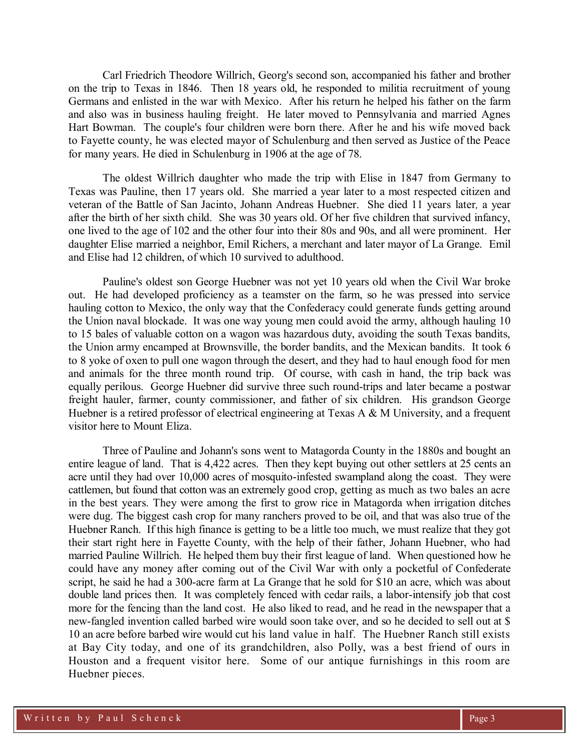Carl Friedrich Theodore Willrich, Georg's second son, accompanied his father and brother on the trip to Texas in 1846. Then 18 years old, he responded to militia recruitment of young Germans and enlisted in the war with Mexico. After his return he helped his father on the farm and also was in business hauling freight. He later moved to Pennsylvania and married Agnes Hart Bowman. The couple's four children were born there. After he and his wife moved back to Fayette county, he was elected mayor of Schulenburg and then served as Justice of the Peace for many years. He died in Schulenburg in 1906 at the age of 78.

The oldest Willrich daughter who made the trip with Elise in 1847 from Germany to Texas was Pauline, then 17 years old. She married a year later to a most respected citizen and veteran of the Battle of San Jacinto, Johann Andreas Huebner. She died 11 years later*,* a year after the birth of her sixth child. She was 30 years old. Of her five children that survived infancy, one lived to the age of 102 and the other four into their 80s and 90s, and all were prominent. Her daughter Elise married a neighbor, Emil Richers, a merchant and later mayor of La Grange. Emil and Elise had 12 children, of which 10 survived to adulthood.

Pauline's oldest son George Huebner was not yet 10 years old when the Civil War broke out. He had developed proficiency as a teamster on the farm, so he was pressed into service hauling cotton to Mexico, the only way that the Confederacy could generate funds getting around the Union naval blockade. It was one way young men could avoid the army, although hauling 10 to 15 bales of valuable cotton on a wagon was hazardous duty, avoiding the south Texas bandits, the Union army encamped at Brownsville, the border bandits, and the Mexican bandits. It took 6 to 8 yoke of oxen to pull one wagon through the desert, and they had to haul enough food for men and animals for the three month round trip. Of course, with cash in hand, the trip back was equally perilous. George Huebner did survive three such round-trips and later became a postwar freight hauler, farmer, county commissioner, and father of six children. His grandson George Huebner is a retired professor of electrical engineering at Texas A & M University, and a frequent visitor here to Mount Eliza.

Three of Pauline and Johann's sons went to Matagorda County in the 1880s and bought an entire league of land. That is 4,422 acres. Then they kept buying out other settlers at 25 cents an acre until they had over 10,000 acres of mosquito-infested swampland along the coast. They were cattlemen, but found that cotton was an extremely good crop, getting as much as two bales an acre in the best years. They were among the first to grow rice in Matagorda when irrigation ditches were dug. The biggest cash crop for many ranchers proved to be oil, and that was also true of the Huebner Ranch. If this high finance is getting to be a little too much, we must realize that they got their start right here in Fayette County, with the help of their father, Johann Huebner, who had married Pauline Willrich. He helped them buy their first league of land. When questioned how he could have any money after coming out of the Civil War with only a pocketful of Confederate script, he said he had a 300-acre farm at La Grange that he sold for \$10 an acre, which was about double land prices then. It was completely fenced with cedar rails, a labor-intensify job that cost more for the fencing than the land cost. He also liked to read, and he read in the newspaper that a new-fangled invention called barbed wire would soon take over, and so he decided to sell out at \$ 10 an acre before barbed wire would cut his land value in half. The Huebner Ranch still exists at Bay City today, and one of its grandchildren, also Polly, was a best friend of ours in Houston and a frequent visitor here. Some of our antique furnishings in this room are Huebner pieces.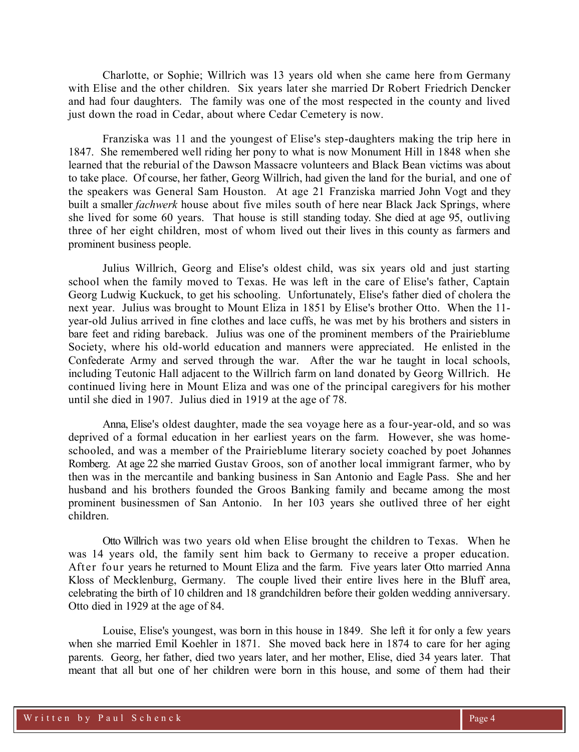Charlotte, or Sophie; Willrich was 13 years old when she came here from Germany with Elise and the other children. Six years later she married Dr Robert Friedrich Dencker and had four daughters. The family was one of the most respected in the county and lived just down the road in Cedar, about where Cedar Cemetery is now.

Franziska was 11 and the youngest of Elise's step-daughters making the trip here in 1847. She remembered well riding her pony to what is now Monument Hill in 1848 when she learned that the reburial of the Dawson Massacre volunteers and Black Bean victims was about to take place. Of course, her father, Georg Willrich, had given the land for the burial, and one of the speakers was General Sam Houston. At age 21 Franziska married John Vogt and they built a smaller *fachwerk* house about five miles south of here near Black Jack Springs, where she lived for some 60 years. That house is still standing today. She died at age 95, outliving three of her eight children, most of whom lived out their lives in this county as farmers and prominent business people.

Julius Willrich, Georg and Elise's oldest child, was six years old and just starting school when the family moved to Texas. He was left in the care of Elise's father, Captain Georg Ludwig Kuckuck, to get his schooling. Unfortunately, Elise's father died of cholera the next year. Julius was brought to Mount Eliza in 1851 by Elise's brother Otto. When the 11 year-old Julius arrived in fine clothes and lace cuffs, he was met by his brothers and sisters in bare feet and riding bareback. Julius was one of the prominent members of the Prairieblume Society, where his old-world education and manners were appreciated. He enlisted in the Confederate Army and served through the war. After the war he taught in local schools, including Teutonic Hall adjacent to the Willrich farm on land donated by Georg Willrich. He continued living here in Mount Eliza and was one of the principal caregivers for his mother until she died in 1907. Julius died in 1919 at the age of 78.

Anna, Elise's oldest daughter, made the sea voyage here as a four-year-old, and so was deprived of a formal education in her earliest years on the farm. However, she was homeschooled, and was a member of the Prairieblume literary society coached by poet Johannes Romberg. At age 22 she married Gustav Groos, son of another local immigrant farmer, who by then was in the mercantile and banking business in San Antonio and Eagle Pass. She and her husband and his brothers founded the Groos Banking family and became among the most prominent businessmen of San Antonio. In her 103 years she outlived three of her eight children.

Otto Willrich was two years old when Elise brought the children to Texas. When he was 14 years old, the family sent him back to Germany to receive a proper education. After four years he returned to Mount Eliza and the farm. Five years later Otto married Anna Kloss of Mecklenburg, Germany. The couple lived their entire lives here in the Bluff area, celebrating the birth of 10 children and 18 grandchildren before their golden wedding anniversary. Otto died in 1929 at the age of 84.

Louise, Elise's youngest, was born in this house in 1849. She left it for only a few years when she married Emil Koehler in 1871. She moved back here in 1874 to care for her aging parents. Georg, her father, died two years later, and her mother, Elise, died 34 years later. That meant that all but one of her children were born in this house, and some of them had their